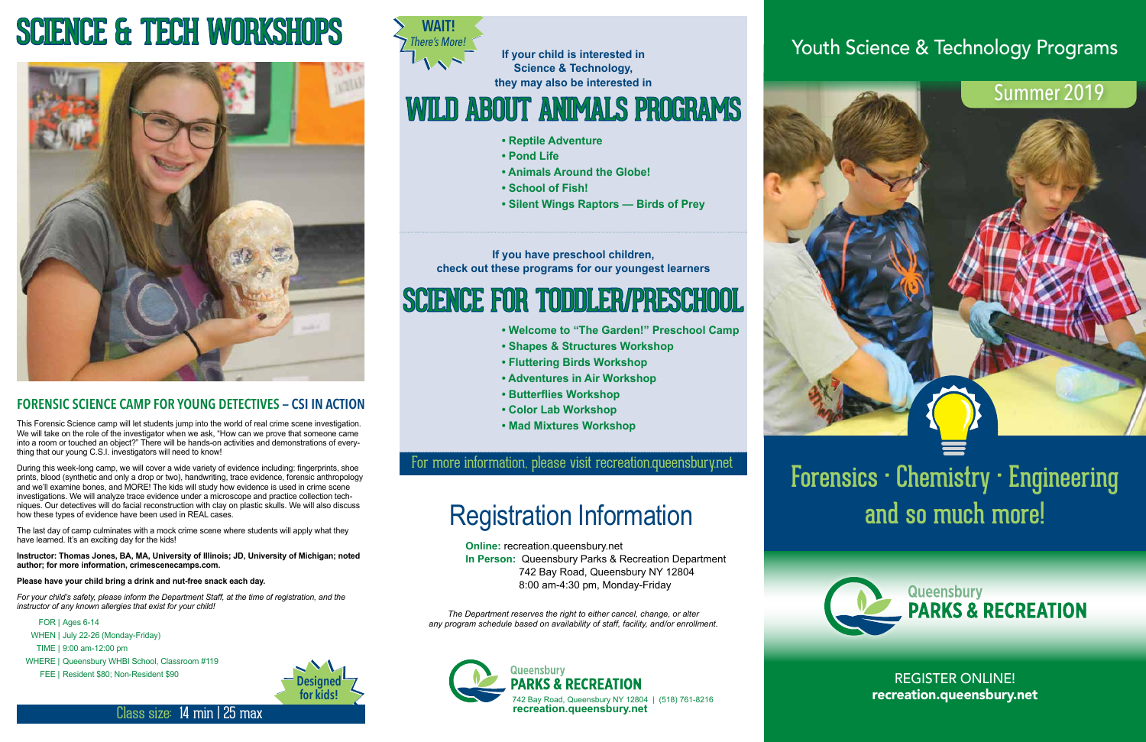## For more information, please visit recreation.queensbury.net

**If you have preschool children, check out these programs for our youngest learners** 

- **Welcome to "The Garden!" Preschool Camp**
- **Shapes & Structures Workshop**
- **Fluttering Birds Workshop**
- **Adventures in Air Workshop**
- **• Butterflies Workshop**
- **Color Lab Workshop**
- **Mad Mixtures Workshop**

# SCIENCE FOR TODDLER/PRESCHOOL



REGISTER ONLINE! recreation.queensbury.net

## Summer 2019

## Youth Science & Technology Programs

Forensics • Chemistry • Engineering and so much more!

**If your child is interested in Science & Technology, they may also be interested in** 

- **Reptile Adventure**
- **Pond Life**
- **Animals Around the Globe!**
- **School of Fish!**
- **Silent Wings Raptors Birds of Prey**



# WILD ABOUT ANIMALS PROGRAMS

## **FORENSIC SCIENCE CAMP FOR YOUNG DETECTIVES — CSI IN ACTION**

The last day of camp culminates with a mock crime scene where students will apply what they have learned. It's an exciting day for the kids!

This Forensic Science camp will let students jump into the world of real crime scene investigation. We will take on the role of the investigator when we ask, "How can we prove that someone came into a room or touched an object?" There will be hands-on activities and demonstrations of everything that our young C.S.I. investigators will need to know!

During this week-long camp, we will cover a wide variety of evidence including: fingerprints, shoe prints, blood (synthetic and only a drop or two), handwriting, trace evidence, forensic anthropology and we'll examine bones, and MORE! The kids will study how evidence is used in crime scene investigations. We will analyze trace evidence under a microscope and practice collection techniques. Our detectives will do facial reconstruction with clay on plastic skulls. We will also discuss how these types of evidence have been used in REAL cases.

**Instructor: Thomas Jones, BA, MA, University of Illinois; JD, University of Michigan; noted author; for more information, crimescenecamps.com.**

### **Please have your child bring a drink and nut-free snack each day.**

*For your child's safety, please inform the Department Staff, at the time of registration, and the instructor of any known allergies that exist for your child!*

- FOR | Ages 6-14
- WHEN | July 22-26 (Monday-Friday)
- TIME | 9:00 am-12:00 pm
- WHERE | Queensbury WHBI School, Classroom #119
	- FEE | Resident \$80; Non-Resident \$90

Class size: 14 min | 25 max

# SCIENCE & TECH WORKSHOPS







**Online:** recreation.queensbury.net **In Person:** Queensbury Parks & Recreation Department 742 Bay Road, Queensbury NY 12804 8:00 am-4:30 pm, Monday-Friday

*The Department reserves the right to either cancel, change, or alter any program schedule based on availability of staff, facility, and/or enrollment.*

# Registration Information